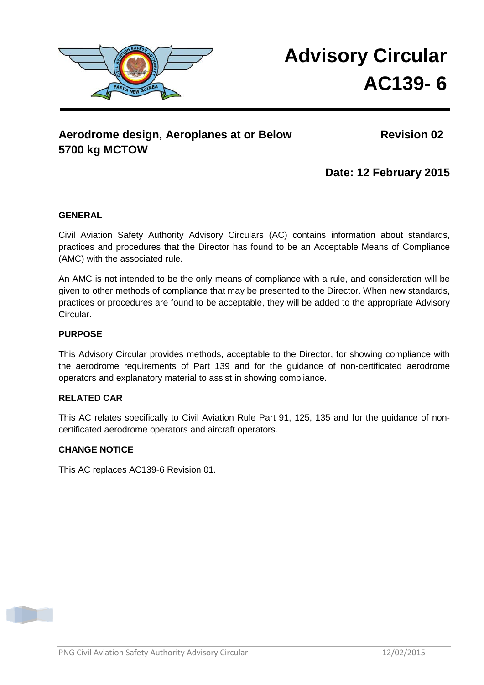

# **Advisory Circular AC139- 6**

# Aerodrome design, Aeroplanes at or Below Revision 02 **5700 kg MCTOW**

**Date: 12 February 2015** 

### **GENERAL**

Civil Aviation Safety Authority Advisory Circulars (AC) contains information about standards, practices and procedures that the Director has found to be an Acceptable Means of Compliance (AMC) with the associated rule.

An AMC is not intended to be the only means of compliance with a rule, and consideration will be given to other methods of compliance that may be presented to the Director. When new standards, practices or procedures are found to be acceptable, they will be added to the appropriate Advisory Circular.

### **PURPOSE**

This Advisory Circular provides methods, acceptable to the Director, for showing compliance with the aerodrome requirements of Part 139 and for the guidance of non-certificated aerodrome operators and explanatory material to assist in showing compliance.

#### **RELATED CAR**

This AC relates specifically to Civil Aviation Rule Part 91, 125, 135 and for the guidance of noncertificated aerodrome operators and aircraft operators.

#### **CHANGE NOTICE**

This AC replaces AC139-6 Revision 01.

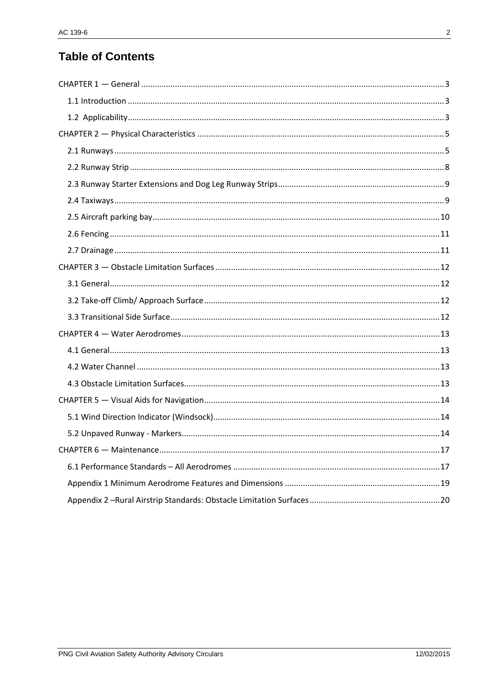# **Table of Contents**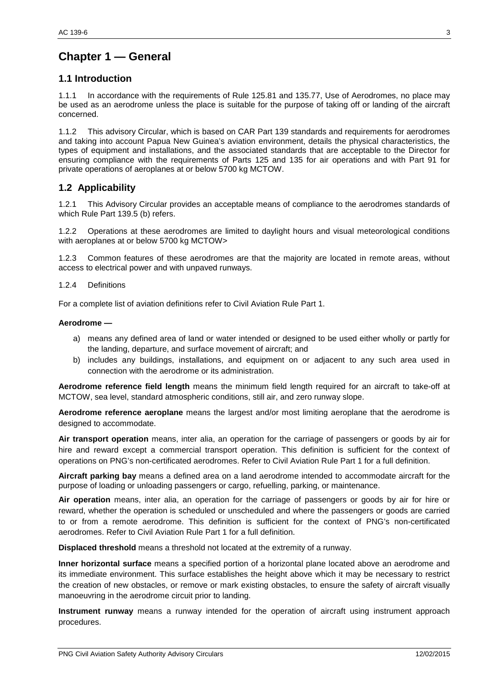# <span id="page-2-0"></span>**Chapter 1 — General**

# <span id="page-2-1"></span>**1.1 Introduction**

1.1.1 In accordance with the requirements of Rule 125.81 and 135.77, Use of Aerodromes, no place may be used as an aerodrome unless the place is suitable for the purpose of taking off or landing of the aircraft concerned.

1.1.2 This advisory Circular, which is based on CAR Part 139 standards and requirements for aerodromes and taking into account Papua New Guinea's aviation environment, details the physical characteristics, the types of equipment and installations, and the associated standards that are acceptable to the Director for ensuring compliance with the requirements of Parts 125 and 135 for air operations and with Part 91 for private operations of aeroplanes at or below 5700 kg MCTOW.

# <span id="page-2-2"></span>**1.2 Applicability**

1.2.1 This Advisory Circular provides an acceptable means of compliance to the aerodromes standards of which Rule Part 139.5 (b) refers.

1.2.2 Operations at these aerodromes are limited to daylight hours and visual meteorological conditions with aeroplanes at or below 5700 kg MCTOW>

1.2.3 Common features of these aerodromes are that the majority are located in remote areas, without access to electrical power and with unpaved runways.

#### 1.2.4 Definitions

For a complete list of aviation definitions refer to Civil Aviation Rule Part 1.

#### **Aerodrome —**

- a) means any defined area of land or water intended or designed to be used either wholly or partly for the landing, departure, and surface movement of aircraft; and
- b) includes any buildings, installations, and equipment on or adjacent to any such area used in connection with the aerodrome or its administration.

**Aerodrome reference field length** means the minimum field length required for an aircraft to take-off at MCTOW, sea level, standard atmospheric conditions, still air, and zero runway slope.

**Aerodrome reference aeroplane** means the largest and/or most limiting aeroplane that the aerodrome is designed to accommodate.

**Air transport operation** means, inter alia, an operation for the carriage of passengers or goods by air for hire and reward except a commercial transport operation. This definition is sufficient for the context of operations on PNG's non-certificated aerodromes. Refer to Civil Aviation Rule Part 1 for a full definition.

**Aircraft parking bay** means a defined area on a land aerodrome intended to accommodate aircraft for the purpose of loading or unloading passengers or cargo, refuelling, parking, or maintenance.

**Air operation** means, inter alia, an operation for the carriage of passengers or goods by air for hire or reward, whether the operation is scheduled or unscheduled and where the passengers or goods are carried to or from a remote aerodrome. This definition is sufficient for the context of PNG's non-certificated aerodromes. Refer to Civil Aviation Rule Part 1 for a full definition.

**Displaced threshold** means a threshold not located at the extremity of a runway.

**Inner horizontal surface** means a specified portion of a horizontal plane located above an aerodrome and its immediate environment. This surface establishes the height above which it may be necessary to restrict the creation of new obstacles, or remove or mark existing obstacles, to ensure the safety of aircraft visually manoeuvring in the aerodrome circuit prior to landing.

**Instrument runway** means a runway intended for the operation of aircraft using instrument approach procedures.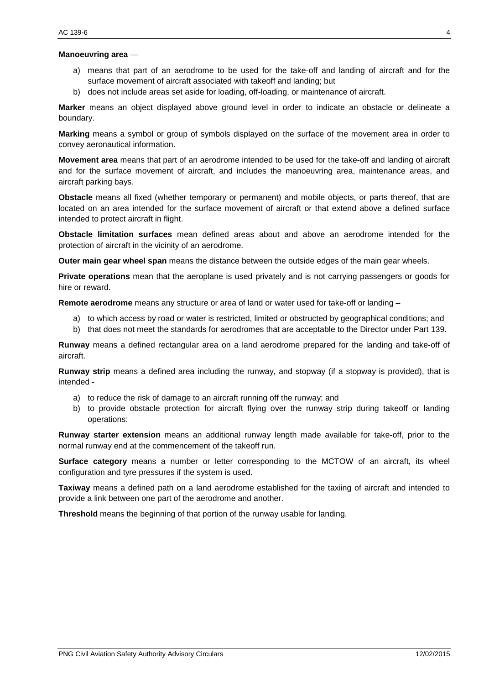#### **Manoeuvring area** —

- a) means that part of an aerodrome to be used for the take-off and landing of aircraft and for the surface movement of aircraft associated with takeoff and landing; but
- b) does not include areas set aside for loading, off-loading, or maintenance of aircraft.

**Marker** means an object displayed above ground level in order to indicate an obstacle or delineate a boundary.

**Marking** means a symbol or group of symbols displayed on the surface of the movement area in order to convey aeronautical information.

**Movement area** means that part of an aerodrome intended to be used for the take-off and landing of aircraft and for the surface movement of aircraft, and includes the manoeuvring area, maintenance areas, and aircraft parking bays.

**Obstacle** means all fixed (whether temporary or permanent) and mobile objects, or parts thereof, that are located on an area intended for the surface movement of aircraft or that extend above a defined surface intended to protect aircraft in flight.

**Obstacle limitation surfaces** mean defined areas about and above an aerodrome intended for the protection of aircraft in the vicinity of an aerodrome.

**Outer main gear wheel span** means the distance between the outside edges of the main gear wheels.

**Private operations** mean that the aeroplane is used privately and is not carrying passengers or goods for hire or reward.

**Remote aerodrome** means any structure or area of land or water used for take-off or landing –

- a) to which access by road or water is restricted, limited or obstructed by geographical conditions; and
- b) that does not meet the standards for aerodromes that are acceptable to the Director under Part 139.

**Runway** means a defined rectangular area on a land aerodrome prepared for the landing and take-off of aircraft.

**Runway strip** means a defined area including the runway, and stopway (if a stopway is provided), that is intended -

- a) to reduce the risk of damage to an aircraft running off the runway; and
- b) to provide obstacle protection for aircraft flying over the runway strip during takeoff or landing operations:

**Runway starter extension** means an additional runway length made available for take-off, prior to the normal runway end at the commencement of the takeoff run.

**Surface category** means a number or letter corresponding to the MCTOW of an aircraft, its wheel configuration and tyre pressures if the system is used.

**Taxiway** means a defined path on a land aerodrome established for the taxiing of aircraft and intended to provide a link between one part of the aerodrome and another.

**Threshold** means the beginning of that portion of the runway usable for landing.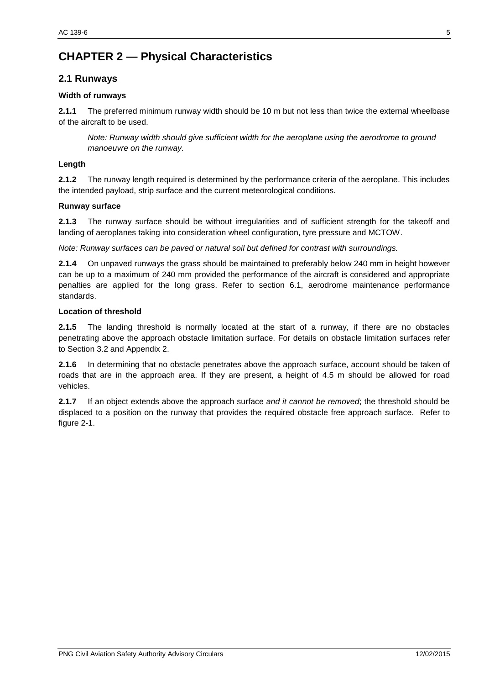# <span id="page-4-0"></span>**CHAPTER 2 — Physical Characteristics**

# <span id="page-4-1"></span>**2.1 Runways**

#### **Width of runways**

**2.1.1** The preferred minimum runway width should be 10 m but not less than twice the external wheelbase of the aircraft to be used.

*Note: Runway width should give sufficient width for the aeroplane using the aerodrome to ground manoeuvre on the runway.*

#### **Length**

**2.1.2** The runway length required is determined by the performance criteria of the aeroplane. This includes the intended payload, strip surface and the current meteorological conditions.

#### **Runway surface**

**2.1.3** The runway surface should be without irregularities and of sufficient strength for the takeoff and landing of aeroplanes taking into consideration wheel configuration, tyre pressure and MCTOW.

*Note: Runway surfaces can be paved or natural soil but defined for contrast with surroundings.*

**2.1.4** On unpaved runways the grass should be maintained to preferably below 240 mm in height however can be up to a maximum of 240 mm provided the performance of the aircraft is considered and appropriate penalties are applied for the long grass. Refer to section 6.1, aerodrome maintenance performance standards.

#### **Location of threshold**

**2.1.5** The landing threshold is normally located at the start of a runway, if there are no obstacles penetrating above the approach obstacle limitation surface. For details on obstacle limitation surfaces refer to Section 3.2 and Appendix 2.

**2.1.6** In determining that no obstacle penetrates above the approach surface, account should be taken of roads that are in the approach area. If they are present, a height of 4.5 m should be allowed for road vehicles.

**2.1.7** If an object extends above the approach surface *and it cannot be removed*; the threshold should be displaced to a position on the runway that provides the required obstacle free approach surface. Refer to figure 2-1.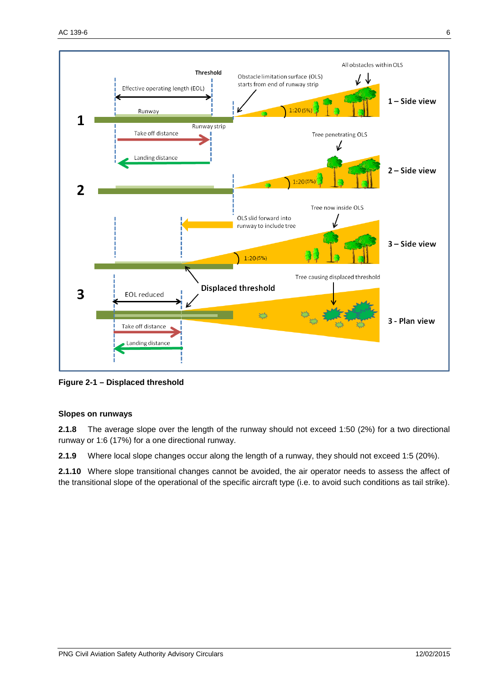

**Figure 2-1 – Displaced threshold**

#### **Slopes on runways**

**2.1.8** The average slope over the length of the runway should not exceed 1:50 (2%) for a two directional runway or 1:6 (17%) for a one directional runway.

**2.1.9** Where local slope changes occur along the length of a runway, they should not exceed 1:5 (20%).

**2.1.10** Where slope transitional changes cannot be avoided, the air operator needs to assess the affect of the transitional slope of the operational of the specific aircraft type (i.e. to avoid such conditions as tail strike).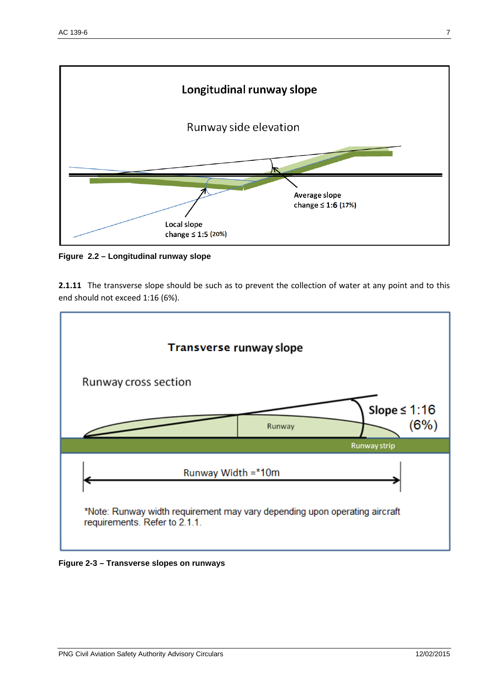

**Figure 2.2 – Longitudinal runway slope**

**2.1.11** The transverse slope should be such as to prevent the collection of water at any point and to this end should not exceed 1:16 (6%).



**Figure 2-3 – Transverse slopes on runways**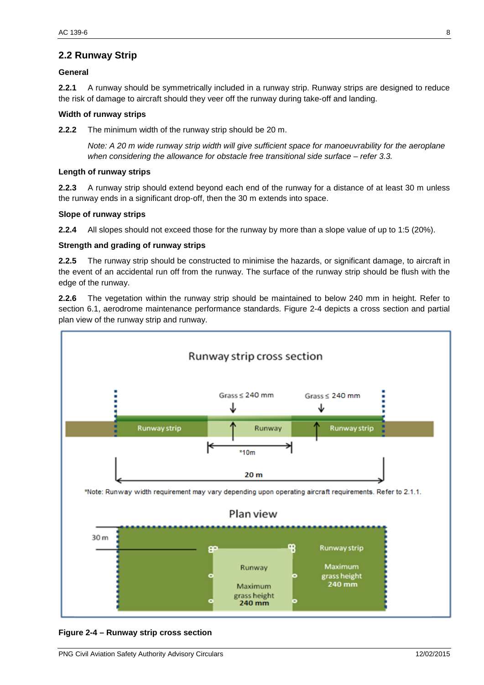# <span id="page-7-0"></span>**2.2 Runway Strip**

#### **General**

**2.2.1** A runway should be symmetrically included in a runway strip. Runway strips are designed to reduce the risk of damage to aircraft should they veer off the runway during take-off and landing.

#### **Width of runway strips**

**2.2.2** The minimum width of the runway strip should be 20 m.

*Note: A 20 m wide runway strip width will give sufficient space for manoeuvrability for the aeroplane when considering the allowance for obstacle free transitional side surface – refer 3.3.*

#### **Length of runway strips**

**2.2.3** A runway strip should extend beyond each end of the runway for a distance of at least 30 m unless the runway ends in a significant drop-off, then the 30 m extends into space.

#### **Slope of runway strips**

**2.2.4** All slopes should not exceed those for the runway by more than a slope value of up to 1:5 (20%).

#### **Strength and grading of runway strips**

**2.2.5** The runway strip should be constructed to minimise the hazards, or significant damage, to aircraft in the event of an accidental run off from the runway. The surface of the runway strip should be flush with the edge of the runway.

**2.2.6** The vegetation within the runway strip should be maintained to below 240 mm in height. Refer to section 6.1, aerodrome maintenance performance standards. Figure 2-4 depicts a cross section and partial plan view of the runway strip and runway.



**Figure 2-4 – Runway strip cross section**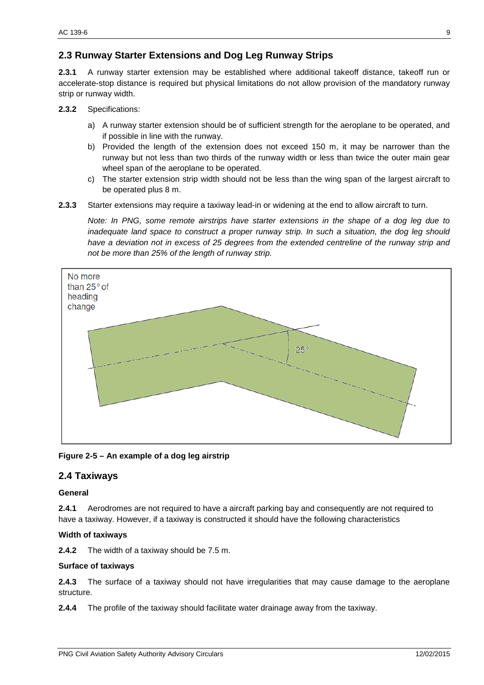# <span id="page-8-0"></span>**2.3 Runway Starter Extensions and Dog Leg Runway Strips**

**2.3.1** A runway starter extension may be established where additional takeoff distance, takeoff run or accelerate-stop distance is required but physical limitations do not allow provision of the mandatory runway strip or runway width.

**2.3.2** Specifications:

- a) A runway starter extension should be of sufficient strength for the aeroplane to be operated, and if possible in line with the runway.
- b) Provided the length of the extension does not exceed 150 m, it may be narrower than the runway but not less than two thirds of the runway width or less than twice the outer main gear wheel span of the aeroplane to be operated.
- c) The starter extension strip width should not be less than the wing span of the largest aircraft to be operated plus 8 m.
- **2.3.3** Starter extensions may require a taxiway lead-in or widening at the end to allow aircraft to turn.

*Note: In PNG, some remote airstrips have starter extensions in the shape of a dog leg due to inadequate land space to construct a proper runway strip. In such a situation, the dog leg should*  have a deviation not in excess of 25 degrees from the extended centreline of the runway strip and *not be more than 25% of the length of runway strip.*



**Figure 2-5 – An example of a dog leg airstrip** 

# <span id="page-8-1"></span>**2.4 Taxiways**

#### **General**

**2.4.1** Aerodromes are not required to have a aircraft parking bay and consequently are not required to have a taxiway. However, if a taxiway is constructed it should have the following characteristics

#### **Width of taxiways**

**2.4.2** The width of a taxiway should be 7.5 m.

#### **Surface of taxiways**

**2.4.3** The surface of a taxiway should not have irregularities that may cause damage to the aeroplane structure.

**2.4.4** The profile of the taxiway should facilitate water drainage away from the taxiway.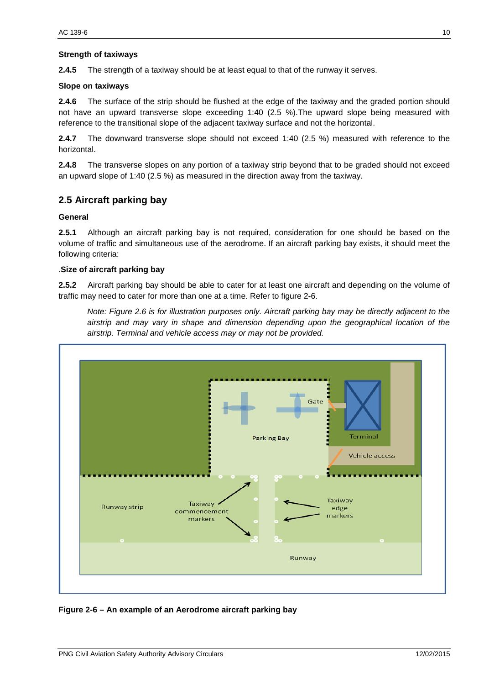#### **Strength of taxiways**

**2.4.5** The strength of a taxiway should be at least equal to that of the runway it serves.

#### **Slope on taxiways**

**2.4.6** The surface of the strip should be flushed at the edge of the taxiway and the graded portion should not have an upward transverse slope exceeding 1:40 (2.5 %).The upward slope being measured with reference to the transitional slope of the adjacent taxiway surface and not the horizontal.

**2.4.7** The downward transverse slope should not exceed 1:40 (2.5 %) measured with reference to the horizontal.

**2.4.8** The transverse slopes on any portion of a taxiway strip beyond that to be graded should not exceed an upward slope of 1:40 (2.5 %) as measured in the direction away from the taxiway.

#### <span id="page-9-0"></span>**2.5 Aircraft parking bay**

#### **General**

**2.5.1** Although an aircraft parking bay is not required, consideration for one should be based on the volume of traffic and simultaneous use of the aerodrome. If an aircraft parking bay exists, it should meet the following criteria:

#### .**Size of aircraft parking bay**

**2.5.2** Aircraft parking bay should be able to cater for at least one aircraft and depending on the volume of traffic may need to cater for more than one at a time. Refer to figure 2-6.

*Note: Figure 2.6 is for illustration purposes only. Aircraft parking bay may be directly adjacent to the airstrip and may vary in shape and dimension depending upon the geographical location of the airstrip. Terminal and vehicle access may or may not be provided.* 



**Figure 2-6 – An example of an Aerodrome aircraft parking bay**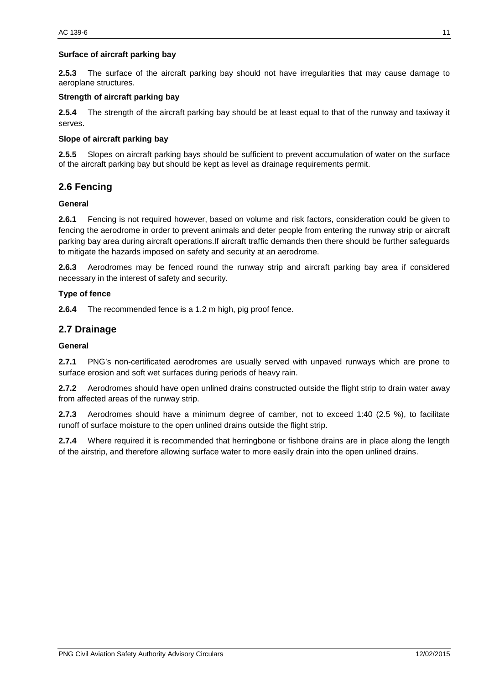#### **Surface of aircraft parking bay**

**2.5.3** The surface of the aircraft parking bay should not have irregularities that may cause damage to aeroplane structures.

#### **Strength of aircraft parking bay**

**2.5.4** The strength of the aircraft parking bay should be at least equal to that of the runway and taxiway it serves.

#### **Slope of aircraft parking bay**

**2.5.5** Slopes on aircraft parking bays should be sufficient to prevent accumulation of water on the surface of the aircraft parking bay but should be kept as level as drainage requirements permit.

#### <span id="page-10-0"></span>**2.6 Fencing**

#### **General**

**2.6.1** Fencing is not required however, based on volume and risk factors, consideration could be given to fencing the aerodrome in order to prevent animals and deter people from entering the runway strip or aircraft parking bay area during aircraft operations.If aircraft traffic demands then there should be further safeguards to mitigate the hazards imposed on safety and security at an aerodrome.

**2.6.3** Aerodromes may be fenced round the runway strip and aircraft parking bay area if considered necessary in the interest of safety and security.

#### **Type of fence**

**2.6.4** The recommended fence is a 1.2 m high, pig proof fence.

#### <span id="page-10-1"></span>**2.7 Drainage**

#### **General**

**2.7.1** PNG's non-certificated aerodromes are usually served with unpaved runways which are prone to surface erosion and soft wet surfaces during periods of heavy rain.

**2.7.2** Aerodromes should have open unlined drains constructed outside the flight strip to drain water away from affected areas of the runway strip.

**2.7.3** Aerodromes should have a minimum degree of camber, not to exceed 1:40 (2.5 %), to facilitate runoff of surface moisture to the open unlined drains outside the flight strip.

**2.7.4** Where required it is recommended that herringbone or fishbone drains are in place along the length of the airstrip, and therefore allowing surface water to more easily drain into the open unlined drains.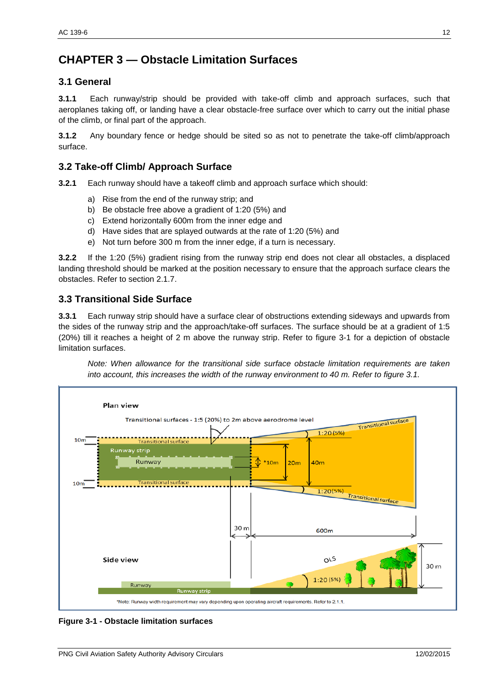# <span id="page-11-0"></span>**CHAPTER 3 — Obstacle Limitation Surfaces**

### <span id="page-11-1"></span>**3.1 General**

**3.1.1** Each runway/strip should be provided with take-off climb and approach surfaces, such that aeroplanes taking off, or landing have a clear obstacle-free surface over which to carry out the initial phase of the climb, or final part of the approach.

**3.1.2** Any boundary fence or hedge should be sited so as not to penetrate the take-off climb/approach surface.

# <span id="page-11-2"></span>**3.2 Take-off Climb/ Approach Surface**

**3.2.1** Each runway should have a takeoff climb and approach surface which should:

- a) Rise from the end of the runway strip; and
- b) Be obstacle free above a gradient of 1:20 (5%) and
- c) Extend horizontally 600m from the inner edge and
- d) Have sides that are splayed outwards at the rate of 1:20 (5%) and
- e) Not turn before 300 m from the inner edge, if a turn is necessary.

**3.2.2** If the 1:20 (5%) gradient rising from the runway strip end does not clear all obstacles, a displaced landing threshold should be marked at the position necessary to ensure that the approach surface clears the obstacles. Refer to section 2.1.7.

### <span id="page-11-3"></span>**3.3 Transitional Side Surface**

**3.3.1** Each runway strip should have a surface clear of obstructions extending sideways and upwards from the sides of the runway strip and the approach/take-off surfaces. The surface should be at a gradient of 1:5 (20%) till it reaches a height of 2 m above the runway strip. Refer to figure 3-1 for a depiction of obstacle limitation surfaces.

*Note: When allowance for the transitional side surface obstacle limitation requirements are taken into account, this increases the width of the runway environment to 40 m. Refer to figure 3.1.*



**Figure 3-1 - Obstacle limitation surfaces**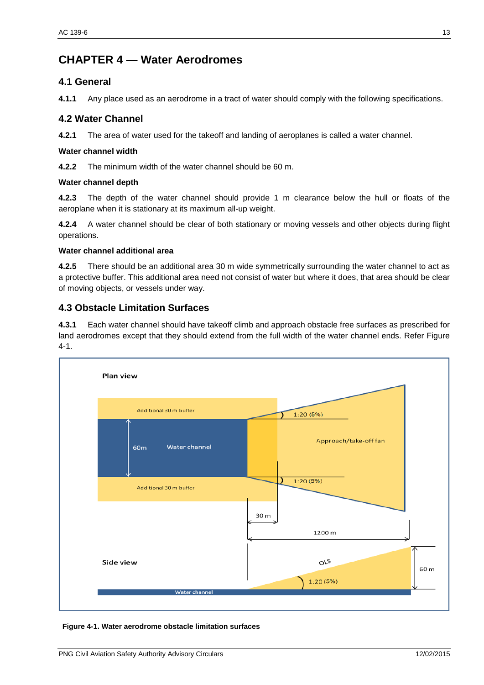# <span id="page-12-0"></span>**CHAPTER 4 — Water Aerodromes**

### <span id="page-12-1"></span>**4.1 General**

**4.1.1** Any place used as an aerodrome in a tract of water should comply with the following specifications.

### <span id="page-12-2"></span>**4.2 Water Channel**

**4.2.1** The area of water used for the takeoff and landing of aeroplanes is called a water channel.

#### **Water channel width**

**4.2.2** The minimum width of the water channel should be 60 m.

#### **Water channel depth**

**4.2.3** The depth of the water channel should provide 1 m clearance below the hull or floats of the aeroplane when it is stationary at its maximum all-up weight.

**4.2.4** A water channel should be clear of both stationary or moving vessels and other objects during flight operations.

#### **Water channel additional area**

**4.2.5** There should be an additional area 30 m wide symmetrically surrounding the water channel to act as a protective buffer. This additional area need not consist of water but where it does, that area should be clear of moving objects, or vessels under way.

# <span id="page-12-3"></span>**4.3 Obstacle Limitation Surfaces**

**4.3.1** Each water channel should have takeoff climb and approach obstacle free surfaces as prescribed for land aerodromes except that they should extend from the full width of the water channel ends. Refer Figure 4-1.



**Figure 4-1. Water aerodrome obstacle limitation surfaces**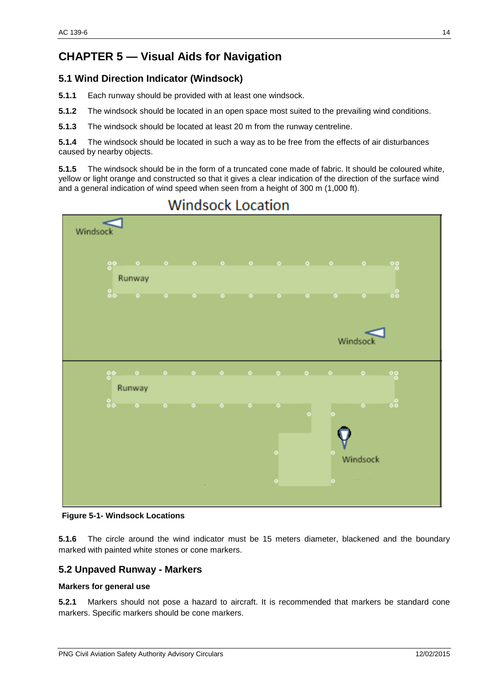# <span id="page-13-0"></span>**CHAPTER 5 — Visual Aids for Navigation**

# <span id="page-13-1"></span>**5.1 Wind Direction Indicator (Windsock)**

- **5.1.1** Each runway should be provided with at least one windsock.
- **5.1.2** The windsock should be located in an open space most suited to the prevailing wind conditions.
- **5.1.3** The windsock should be located at least 20 m from the runway centreline.

**5.1.4** The windsock should be located in such a way as to be free from the effects of air disturbances caused by nearby objects.

**5.1.5** The windsock should be in the form of a truncated cone made of fabric. It should be coloured white, yellow or light orange and constructed so that it gives a clear indication of the direction of the surface wind and a general indication of wind speed when seen from a height of 300 m (1,000 ft).



# **Windsock Location**

**Figure 5-1- Windsock Locations**

**5.1.6** The circle around the wind indicator must be 15 meters diameter, blackened and the boundary marked with painted white stones or cone markers.

#### <span id="page-13-2"></span>**5.2 Unpaved Runway - Markers**

#### **Markers for general use**

**5.2.1** Markers should not pose a hazard to aircraft. It is recommended that markers be standard cone markers. Specific markers should be cone markers.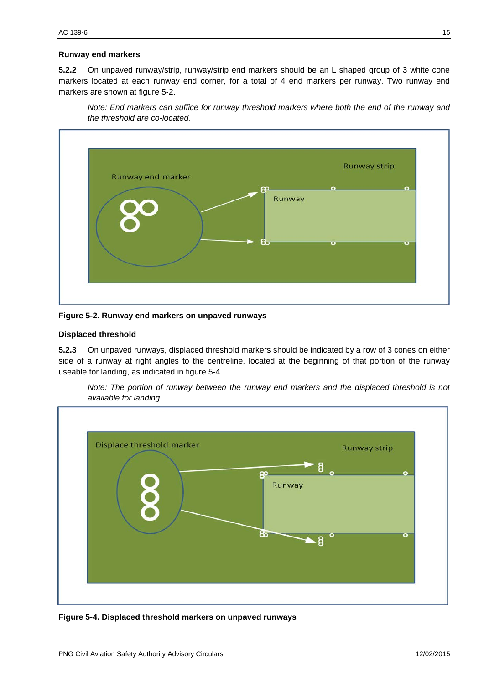#### **Runway end markers**

**5.2.2** On unpaved runway/strip, runway/strip end markers should be an L shaped group of 3 white cone markers located at each runway end corner, for a total of 4 end markers per runway. Two runway end markers are shown at figure 5-2.

*Note: End markers can suffice for runway threshold markers where both the end of the runway and the threshold are co-located.*



**Figure 5-2. Runway end markers on unpaved runways**

#### **Displaced threshold**

**5.2.3** On unpaved runways, displaced threshold markers should be indicated by a row of 3 cones on either side of a runway at right angles to the centreline, located at the beginning of that portion of the runway useable for landing, as indicated in figure 5-4.

*Note: The portion of runway between the runway end markers and the displaced threshold is not available for landing*



**Figure 5-4. Displaced threshold markers on unpaved runways**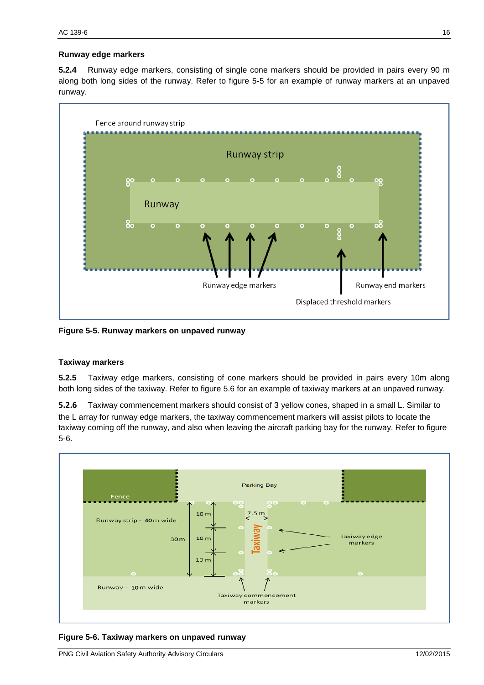#### **Runway edge markers**

**5.2.4** Runway edge markers, consisting of single cone markers should be provided in pairs every 90 m along both long sides of the runway. Refer to figure 5-5 for an example of runway markers at an unpaved runway.



**Figure 5-5. Runway markers on unpaved runway**

#### **Taxiway markers**

**5.2.5** Taxiway edge markers, consisting of cone markers should be provided in pairs every 10m along both long sides of the taxiway. Refer to figure 5.6 for an example of taxiway markers at an unpaved runway.

**5.2.6** Taxiway commencement markers should consist of 3 yellow cones, shaped in a small L. Similar to the L array for runway edge markers, the taxiway commencement markers will assist pilots to locate the taxiway coming off the runway, and also when leaving the aircraft parking bay for the runway. Refer to figure 5-6.



**Figure 5-6. Taxiway markers on unpaved runway**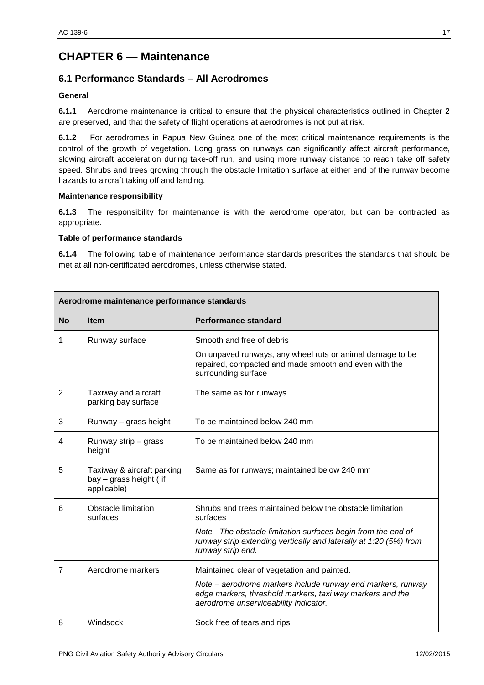# <span id="page-16-0"></span>**CHAPTER 6 — Maintenance**

# <span id="page-16-1"></span>**6.1 Performance Standards – All Aerodromes**

#### **General**

**6.1.1** Aerodrome maintenance is critical to ensure that the physical characteristics outlined in Chapter 2 are preserved, and that the safety of flight operations at aerodromes is not put at risk.

**6.1.2** For aerodromes in Papua New Guinea one of the most critical maintenance requirements is the control of the growth of vegetation. Long grass on runways can significantly affect aircraft performance, slowing aircraft acceleration during take-off run, and using more runway distance to reach take off safety speed. Shrubs and trees growing through the obstacle limitation surface at either end of the runway become hazards to aircraft taking off and landing.

#### **Maintenance responsibility**

**6.1.3** The responsibility for maintenance is with the aerodrome operator, but can be contracted as appropriate.

#### **Table of performance standards**

**6.1.4** The following table of maintenance performance standards prescribes the standards that should be met at all non-certificated aerodromes, unless otherwise stated.

| Aerodrome maintenance performance standards |                                                                     |                                                                                                                                                                   |  |
|---------------------------------------------|---------------------------------------------------------------------|-------------------------------------------------------------------------------------------------------------------------------------------------------------------|--|
| <b>No</b>                                   | <b>Item</b>                                                         | <b>Performance standard</b>                                                                                                                                       |  |
| 1                                           | Runway surface                                                      | Smooth and free of debris                                                                                                                                         |  |
|                                             |                                                                     | On unpaved runways, any wheel ruts or animal damage to be<br>repaired, compacted and made smooth and even with the<br>surrounding surface                         |  |
| $\overline{2}$                              | Taxiway and aircraft<br>parking bay surface                         | The same as for runways                                                                                                                                           |  |
| 3                                           | Runway - grass height                                               | To be maintained below 240 mm                                                                                                                                     |  |
| 4                                           | Runway strip - grass<br>height                                      | To be maintained below 240 mm                                                                                                                                     |  |
| 5                                           | Taxiway & aircraft parking<br>bay - grass height (if<br>applicable) | Same as for runways; maintained below 240 mm                                                                                                                      |  |
| 6                                           | Obstacle limitation<br>surfaces                                     | Shrubs and trees maintained below the obstacle limitation<br>surfaces                                                                                             |  |
|                                             |                                                                     | Note - The obstacle limitation surfaces begin from the end of<br>runway strip extending vertically and laterally at 1:20 (5%) from<br>runway strip end.           |  |
| $\overline{7}$                              | Aerodrome markers                                                   | Maintained clear of vegetation and painted.                                                                                                                       |  |
|                                             |                                                                     | Note – aerodrome markers include runway end markers, runway<br>edge markers, threshold markers, taxi way markers and the<br>aerodrome unserviceability indicator. |  |
| 8                                           | Windsock                                                            | Sock free of tears and rips                                                                                                                                       |  |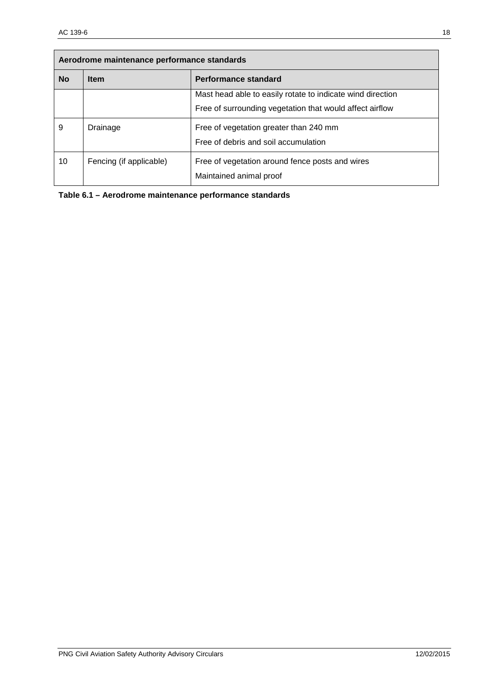| Aerodrome maintenance performance standards |                         |                                                                            |  |  |
|---------------------------------------------|-------------------------|----------------------------------------------------------------------------|--|--|
| <b>No</b>                                   | <b>Item</b>             | Performance standard                                                       |  |  |
|                                             |                         | Mast head able to easily rotate to indicate wind direction                 |  |  |
|                                             |                         | Free of surrounding vegetation that would affect airflow                   |  |  |
| 9                                           | Drainage                | Free of vegetation greater than 240 mm                                     |  |  |
|                                             |                         | Free of debris and soil accumulation                                       |  |  |
| 10                                          | Fencing (if applicable) | Free of vegetation around fence posts and wires<br>Maintained animal proof |  |  |

| Table 6.1 - Aerodrome maintenance performance standards |  |
|---------------------------------------------------------|--|
|---------------------------------------------------------|--|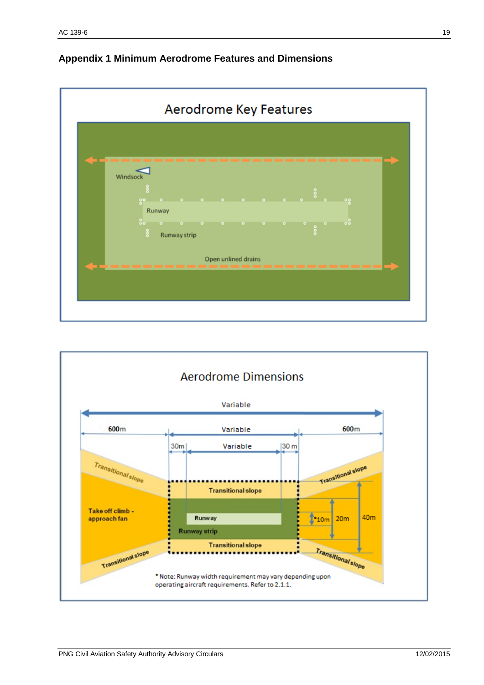

# <span id="page-18-0"></span>**Appendix 1 Minimum Aerodrome Features and Dimensions**